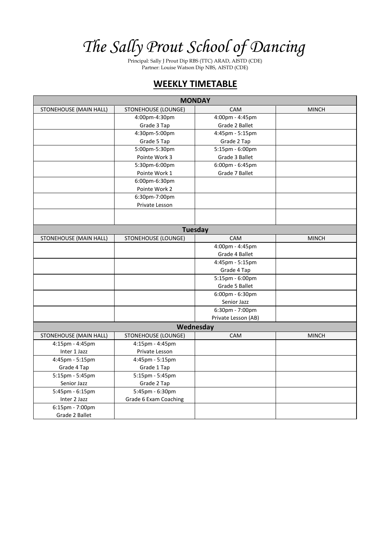## *The Sally Prout School of Dancing*

Principal: Sally J Prout Dip RBS (TTC) ARAD, AISTD (CDE) Partner: Louise Watson Dip NBS, AISTD (CDE)

## **WEEKLY TIMETABLE**

| <b>MONDAY</b>          |                              |                     |              |  |  |
|------------------------|------------------------------|---------------------|--------------|--|--|
| STONEHOUSE (MAIN HALL) | <b>STONEHOUSE (LOUNGE)</b>   | CAM                 | <b>MINCH</b> |  |  |
|                        | 4:00pm-4:30pm                | 4:00pm - 4:45pm     |              |  |  |
|                        | Grade 3 Tap                  | Grade 2 Ballet      |              |  |  |
|                        | 4:30pm-5:00pm                | 4:45pm - 5:15pm     |              |  |  |
|                        | Grade 5 Tap                  | Grade 2 Tap         |              |  |  |
|                        | 5:00pm-5:30pm                | 5:15pm - 6:00pm     |              |  |  |
|                        | Pointe Work 3                | Grade 3 Ballet      |              |  |  |
|                        | 5:30pm-6:00pm                | 6:00pm - 6:45pm     |              |  |  |
|                        | Pointe Work 1                | Grade 7 Ballet      |              |  |  |
|                        | 6:00pm-6:30pm                |                     |              |  |  |
|                        | Pointe Work 2                |                     |              |  |  |
|                        | 6:30pm-7:00pm                |                     |              |  |  |
|                        | Private Lesson               |                     |              |  |  |
|                        |                              |                     |              |  |  |
|                        |                              |                     |              |  |  |
| <b>Tuesday</b>         |                              |                     |              |  |  |
| STONEHOUSE (MAIN HALL) | STONEHOUSE (LOUNGE)          | <b>CAM</b>          | <b>MINCH</b> |  |  |
|                        |                              | 4:00pm - 4:45pm     |              |  |  |
|                        |                              | Grade 4 Ballet      |              |  |  |
|                        |                              | 4:45pm - 5:15pm     |              |  |  |
|                        |                              | Grade 4 Tap         |              |  |  |
|                        |                              | 5:15pm - 6:00pm     |              |  |  |
|                        |                              | Grade 5 Ballet      |              |  |  |
|                        |                              | 6:00pm - 6:30pm     |              |  |  |
|                        |                              | Senior Jazz         |              |  |  |
|                        |                              | 6:30pm - 7:00pm     |              |  |  |
|                        |                              | Private Lesson (AB) |              |  |  |
| Wednesday              |                              |                     |              |  |  |
| STONEHOUSE (MAIN HALL) | STONEHOUSE (LOUNGE)          | CAM                 | <b>MINCH</b> |  |  |
| 4:15pm - 4:45pm        | 4:15pm - 4:45pm              |                     |              |  |  |
| Inter 1 Jazz           | Private Lesson               |                     |              |  |  |
| 4:45pm - 5:15pm        | 4:45pm - 5:15pm              |                     |              |  |  |
| Grade 4 Tap            | Grade 1 Tap                  |                     |              |  |  |
| 5:15pm - 5:45pm        | 5:15pm - 5:45pm              |                     |              |  |  |
| Senior Jazz            | Grade 2 Tap                  |                     |              |  |  |
| 5:45pm - 6:15pm        | 5:45pm - 6:30pm              |                     |              |  |  |
| Inter 2 Jazz           | <b>Grade 6 Exam Coaching</b> |                     |              |  |  |
| 6:15pm - 7:00pm        |                              |                     |              |  |  |
| Grade 2 Ballet         |                              |                     |              |  |  |